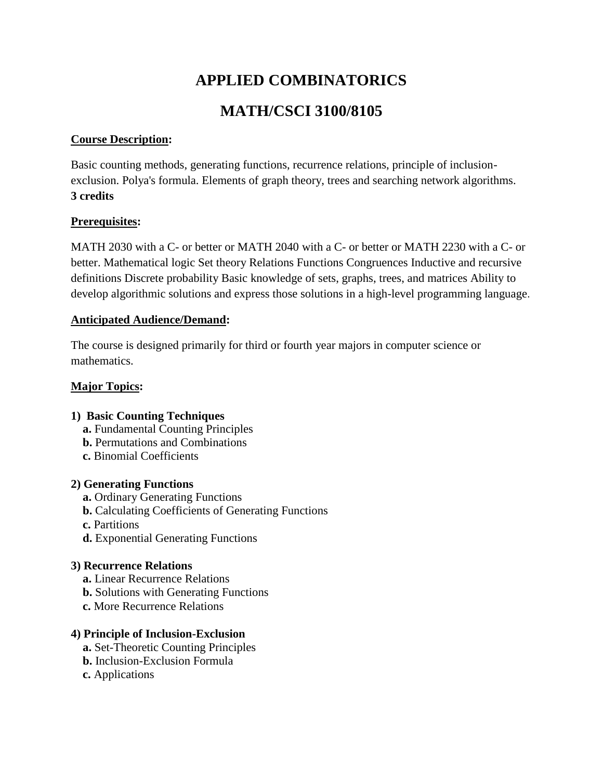# **APPLIED COMBINATORICS**

# **MATH/CSCI 3100/8105**

## **Course Description:**

Basic counting methods, generating functions, recurrence relations, principle of inclusionexclusion. Polya's formula. Elements of graph theory, trees and searching network algorithms. **3 credits**

## **Prerequisites:**

MATH 2030 with a C- or better or MATH 2040 with a C- or better or MATH 2230 with a C- or better. Mathematical logic Set theory Relations Functions Congruences Inductive and recursive definitions Discrete probability Basic knowledge of sets, graphs, trees, and matrices Ability to develop algorithmic solutions and express those solutions in a high-level programming language.

## **Anticipated Audience/Demand:**

The course is designed primarily for third or fourth year majors in computer science or mathematics.

# **Major Topics:**

- **1) Basic Counting Techniques**
	- **a.** Fundamental Counting Principles
	- **b.** Permutations and Combinations
	- **c.** Binomial Coefficients

## **2) Generating Functions**

- **a.** Ordinary Generating Functions
- **b.** Calculating Coefficients of Generating Functions
- **c.** Partitions
- **d.** Exponential Generating Functions

# **3) Recurrence Relations**

- **a.** Linear Recurrence Relations
- **b.** Solutions with Generating Functions
- **c.** More Recurrence Relations

# **4) Principle of Inclusion-Exclusion**

- **a.** Set-Theoretic Counting Principles
- **b.** Inclusion-Exclusion Formula
- **c.** Applications